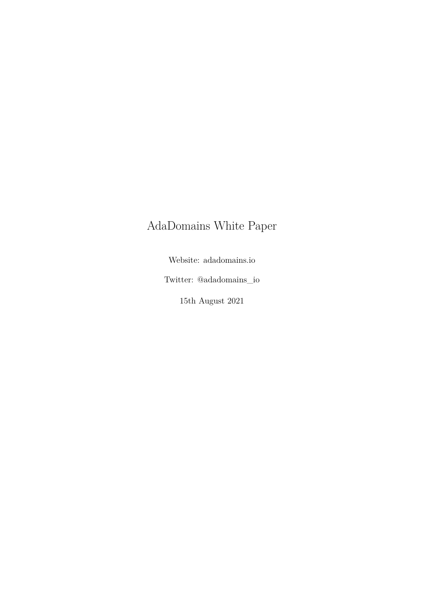# AdaDomains White Paper

Website: adadomains.io

Twitter: @adadomains\_io

15th August 2021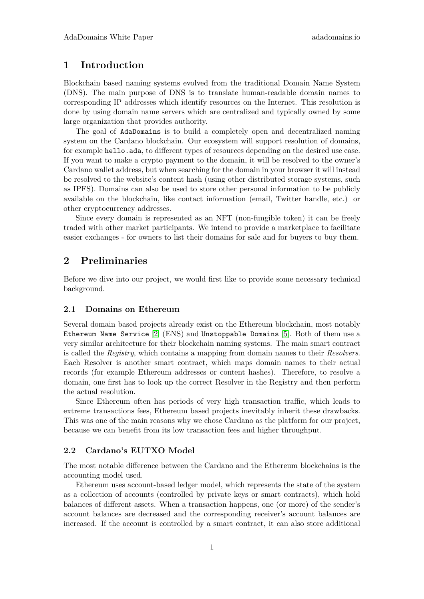# **1 Introduction**

Blockchain based naming systems evolved from the traditional Domain Name System (DNS). The main purpose of DNS is to translate human-readable domain names to corresponding IP addresses which identify resources on the Internet. This resolution is done by using domain name servers which are centralized and typically owned by some large organization that provides authority.

The goal of AdaDomains is to build a completely open and decentralized naming system on the Cardano blockchain. Our ecosystem will support resolution of domains, for example hello.ada, to different types of resources depending on the desired use case. If you want to make a crypto payment to the domain, it will be resolved to the owner's Cardano wallet address, but when searching for the domain in your browser it will instead be resolved to the website's content hash (using other distributed storage systems, such as IPFS). Domains can also be used to store other personal information to be publicly available on the blockchain, like contact information (email, Twitter handle, etc.) or other cryptocurrency addresses.

Since every domain is represented as an NFT (non-fungible token) it can be freely traded with other market participants. We intend to provide a marketplace to facilitate easier exchanges - for owners to list their domains for sale and for buyers to buy them.

# **2 Preliminaries**

Before we dive into our project, we would first like to provide some necessary technical background.

#### **2.1 Domains on Ethereum**

Several domain based projects already exist on the Ethereum blockchain, most notably Ethereum Name Service [\[2\]](#page-7-0) (ENS) and Unstoppable Domains [\[5\]](#page-7-1). Both of them use a very similar architecture for their blockchain naming systems. The main smart contract is called the *Registry*, which contains a mapping from domain names to their *Resolvers*. Each Resolver is another smart contract, which maps domain names to their actual records (for example Ethereum addresses or content hashes). Therefore, to resolve a domain, one first has to look up the correct Resolver in the Registry and then perform the actual resolution.

Since Ethereum often has periods of very high transaction traffic, which leads to extreme transactions fees, Ethereum based projects inevitably inherit these drawbacks. This was one of the main reasons why we chose Cardano as the platform for our project, because we can benefit from its low transaction fees and higher throughput.

## **2.2 Cardano's EUTXO Model**

The most notable difference between the Cardano and the Ethereum blockchains is the accounting model used.

Ethereum uses account-based ledger model, which represents the state of the system as a collection of accounts (controlled by private keys or smart contracts), which hold balances of different assets. When a transaction happens, one (or more) of the sender's account balances are decreased and the corresponding receiver's account balances are increased. If the account is controlled by a smart contract, it can also store additional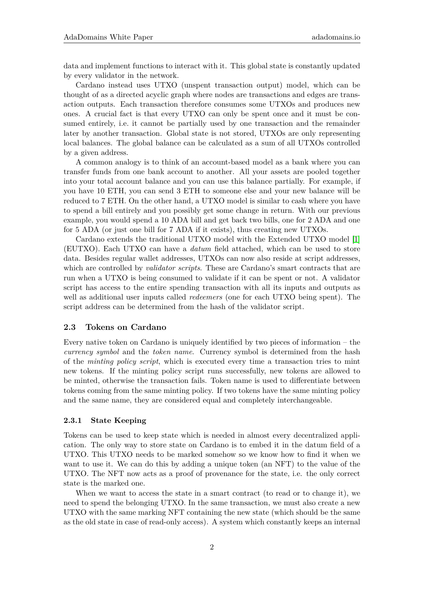data and implement functions to interact with it. This global state is constantly updated by every validator in the network.

Cardano instead uses UTXO (unspent transaction output) model, which can be thought of as a directed acyclic graph where nodes are transactions and edges are transaction outputs. Each transaction therefore consumes some UTXOs and produces new ones. A crucial fact is that every UTXO can only be spent once and it must be consumed entirely, i.e. it cannot be partially used by one transaction and the remainder later by another transaction. Global state is not stored, UTXOs are only representing local balances. The global balance can be calculated as a sum of all UTXOs controlled by a given address.

A common analogy is to think of an account-based model as a bank where you can transfer funds from one bank account to another. All your assets are pooled together into your total account balance and you can use this balance partially. For example, if you have 10 ETH, you can send 3 ETH to someone else and your new balance will be reduced to 7 ETH. On the other hand, a UTXO model is similar to cash where you have to spend a bill entirely and you possibly get some change in return. With our previous example, you would spend a 10 ADA bill and get back two bills, one for 2 ADA and one for 5 ADA (or just one bill for 7 ADA if it exists), thus creating new UTXOs.

Cardano extends the traditional UTXO model with the Extended UTXO model [\[1\]](#page-7-2) (EUTXO). Each UTXO can have a *datum* field attached, which can be used to store data. Besides regular wallet addresses, UTXOs can now also reside at script addresses, which are controlled by *validator scripts*. These are Cardano's smart contracts that are run when a UTXO is being consumed to validate if it can be spent or not. A validator script has access to the entire spending transaction with all its inputs and outputs as well as additional user inputs called *redeemers* (one for each UTXO being spent). The script address can be determined from the hash of the validator script.

#### **2.3 Tokens on Cardano**

Every native token on Cardano is uniquely identified by two pieces of information – the *currency symbol* and the *token name*. Currency symbol is determined from the hash of the *minting policy script*, which is executed every time a transaction tries to mint new tokens. If the minting policy script runs successfully, new tokens are allowed to be minted, otherwise the transaction fails. Token name is used to differentiate between tokens coming from the same minting policy. If two tokens have the same minting policy and the same name, they are considered equal and completely interchangeable.

#### **2.3.1 State Keeping**

Tokens can be used to keep state which is needed in almost every decentralized application. The only way to store state on Cardano is to embed it in the datum field of a UTXO. This UTXO needs to be marked somehow so we know how to find it when we want to use it. We can do this by adding a unique token (an NFT) to the value of the UTXO. The NFT now acts as a proof of provenance for the state, i.e. the only correct state is the marked one.

When we want to access the state in a smart contract (to read or to change it), we need to spend the belonging UTXO. In the same transaction, we must also create a new UTXO with the same marking NFT containing the new state (which should be the same as the old state in case of read-only access). A system which constantly keeps an internal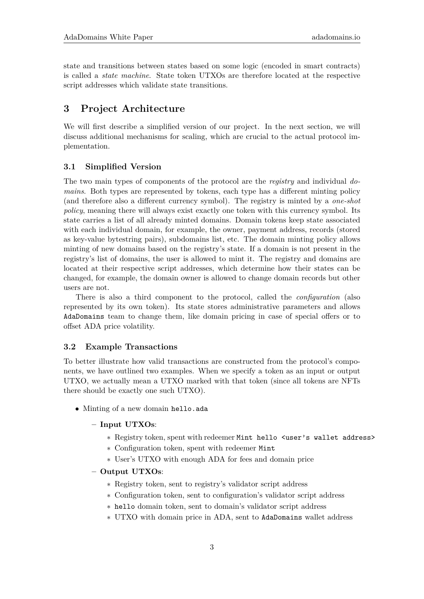state and transitions between states based on some logic (encoded in smart contracts) is called a *state machine*. State token UTXOs are therefore located at the respective script addresses which validate state transitions.

# **3 Project Architecture**

We will first describe a simplified version of our project. In the next section, we will discuss additional mechanisms for scaling, which are crucial to the actual protocol implementation.

## **3.1 Simplified Version**

The two main types of components of the protocol are the *registry* and individual *domains*. Both types are represented by tokens, each type has a different minting policy (and therefore also a different currency symbol). The registry is minted by a *one-shot policy*, meaning there will always exist exactly one token with this currency symbol. Its state carries a list of all already minted domains. Domain tokens keep state associated with each individual domain, for example, the owner, payment address, records (stored as key-value bytestring pairs), subdomains list, etc. The domain minting policy allows minting of new domains based on the registry's state. If a domain is not present in the registry's list of domains, the user is allowed to mint it. The registry and domains are located at their respective script addresses, which determine how their states can be changed, for example, the domain owner is allowed to change domain records but other users are not.

There is also a third component to the protocol, called the *configuration* (also represented by its own token). Its state stores administrative parameters and allows AdaDomains team to change them, like domain pricing in case of special offers or to offset ADA price volatility.

#### **3.2 Example Transactions**

To better illustrate how valid transactions are constructed from the protocol's components, we have outlined two examples. When we specify a token as an input or output UTXO, we actually mean a UTXO marked with that token (since all tokens are NFTs there should be exactly one such UTXO).

• Minting of a new domain hello.ada

## **– Input UTXOs**:

- ∗ Registry token, spent with redeemer Mint hello <user's wallet address>
- ∗ Configuration token, spent with redeemer Mint
- ∗ User's UTXO with enough ADA for fees and domain price

#### **– Output UTXOs**:

- ∗ Registry token, sent to registry's validator script address
- ∗ Configuration token, sent to configuration's validator script address
- ∗ hello domain token, sent to domain's validator script address
- ∗ UTXO with domain price in ADA, sent to AdaDomains wallet address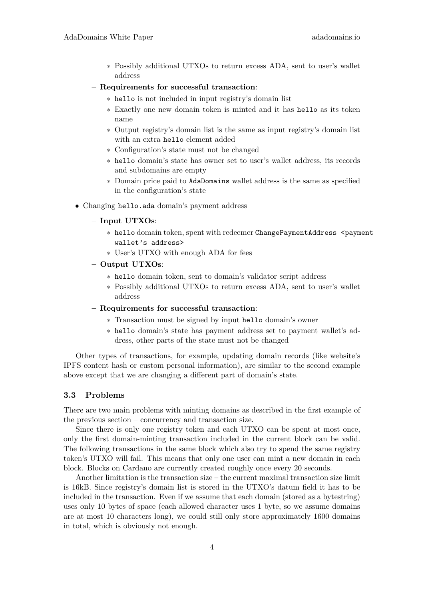- ∗ Possibly additional UTXOs to return excess ADA, sent to user's wallet address
- **– Requirements for successful transaction**:
	- ∗ hello is not included in input registry's domain list
	- ∗ Exactly one new domain token is minted and it has hello as its token name
	- ∗ Output registry's domain list is the same as input registry's domain list with an extra hello element added
	- ∗ Configuration's state must not be changed
	- ∗ hello domain's state has owner set to user's wallet address, its records and subdomains are empty
	- ∗ Domain price paid to AdaDomains wallet address is the same as specified in the configuration's state
- Changing hello.ada domain's payment address
	- **– Input UTXOs**:
		- ∗ hello domain token, spent with redeemer ChangePaymentAddress <payment wallet's address>
		- ∗ User's UTXO with enough ADA for fees
	- **– Output UTXOs**:
		- ∗ hello domain token, sent to domain's validator script address
		- ∗ Possibly additional UTXOs to return excess ADA, sent to user's wallet address
	- **– Requirements for successful transaction**:
		- ∗ Transaction must be signed by input hello domain's owner
		- ∗ hello domain's state has payment address set to payment wallet's address, other parts of the state must not be changed

Other types of transactions, for example, updating domain records (like website's IPFS content hash or custom personal information), are similar to the second example above except that we are changing a different part of domain's state.

## **3.3 Problems**

There are two main problems with minting domains as described in the first example of the previous section – concurrency and transaction size.

Since there is only one registry token and each UTXO can be spent at most once, only the first domain-minting transaction included in the current block can be valid. The following transactions in the same block which also try to spend the same registry token's UTXO will fail. This means that only one user can mint a new domain in each block. Blocks on Cardano are currently created roughly once every 20 seconds.

Another limitation is the transaction size – the current maximal transaction size limit is 16kB. Since registry's domain list is stored in the UTXO's datum field it has to be included in the transaction. Even if we assume that each domain (stored as a bytestring) uses only 10 bytes of space (each allowed character uses 1 byte, so we assume domains are at most 10 characters long), we could still only store approximately 1600 domains in total, which is obviously not enough.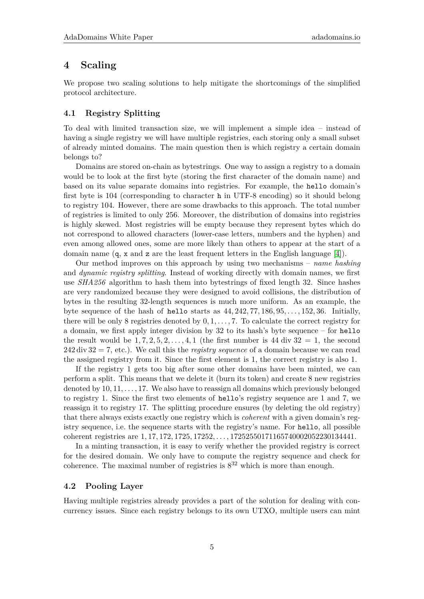# **4 Scaling**

We propose two scaling solutions to help mitigate the shortcomings of the simplified protocol architecture.

## **4.1 Registry Splitting**

To deal with limited transaction size, we will implement a simple idea – instead of having a single registry we will have multiple registries, each storing only a small subset of already minted domains. The main question then is which registry a certain domain belongs to?

Domains are stored on-chain as bytestrings. One way to assign a registry to a domain would be to look at the first byte (storing the first character of the domain name) and based on its value separate domains into registries. For example, the hello domain's first byte is 104 (corresponding to character h in UTF-8 encoding) so it should belong to registry 104. However, there are some drawbacks to this approach. The total number of registries is limited to only 256. Moreover, the distribution of domains into registries is highly skewed. Most registries will be empty because they represent bytes which do not correspond to allowed characters (lower-case letters, numbers and the hyphen) and even among allowed ones, some are more likely than others to appear at the start of a domain name (q, x and z are the least frequent letters in the English language [\[4\]](#page-7-3)).

Our method improves on this approach by using two mechanisms – *name hashing* and *dynamic registry splitting*. Instead of working directly with domain names, we first use *SHA256* algorithm to hash them into bytestrings of fixed length 32. Since hashes are very randomized because they were designed to avoid collisions, the distribution of bytes in the resulting 32-length sequences is much more uniform. As an example, the byte sequence of the hash of hello starts as 44*,* 242*,* 77*,* 186*,* 95*, . . . ,* 152*,* 36. Initially, there will be only 8 registries denoted by 0*,* 1*, . . . ,* 7. To calculate the correct registry for a domain, we first apply integer division by 32 to its hash's byte sequence – for hello the result would be  $1, 7, 2, 5, 2, \ldots, 4, 1$  (the first number is 44 div  $32 = 1$ , the second 242 div 32 = 7, etc.). We call this the *registry sequence* of a domain because we can read the assigned registry from it. Since the first element is 1, the correct registry is also 1.

If the registry 1 gets too big after some other domains have been minted, we can perform a split. This means that we delete it (burn its token) and create 8 new registries denoted by 10*,* 11*, . . . ,* 17. We also have to reassign all domains which previously belonged to registry 1. Since the first two elements of hello's registry sequence are 1 and 7, we reassign it to registry 17. The splitting procedure ensures (by deleting the old registry) that there always exists exactly one registry which is *coherent* with a given domain's registry sequence, i.e. the sequence starts with the registry's name. For hello, all possible coherent registries are 1*,* 17*,* 172*,* 1725*,* 17252*, . . . ,* 17252550171165740002052230134441.

In a minting transaction, it is easy to verify whether the provided registry is correct for the desired domain. We only have to compute the registry sequence and check for coherence. The maximal number of registries is  $8^{32}$  which is more than enough.

#### **4.2 Pooling Layer**

Having multiple registries already provides a part of the solution for dealing with concurrency issues. Since each registry belongs to its own UTXO, multiple users can mint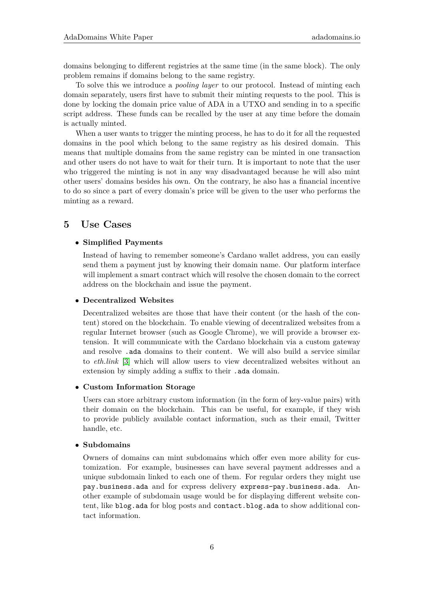domains belonging to different registries at the same time (in the same block). The only problem remains if domains belong to the same registry.

To solve this we introduce a *pooling layer* to our protocol. Instead of minting each domain separately, users first have to submit their minting requests to the pool. This is done by locking the domain price value of ADA in a UTXO and sending in to a specific script address. These funds can be recalled by the user at any time before the domain is actually minted.

When a user wants to trigger the minting process, he has to do it for all the requested domains in the pool which belong to the same registry as his desired domain. This means that multiple domains from the same registry can be minted in one transaction and other users do not have to wait for their turn. It is important to note that the user who triggered the minting is not in any way disadvantaged because he will also mint other users' domains besides his own. On the contrary, he also has a financial incentive to do so since a part of every domain's price will be given to the user who performs the minting as a reward.

# **5 Use Cases**

#### • **Simplified Payments**

Instead of having to remember someone's Cardano wallet address, you can easily send them a payment just by knowing their domain name. Our platform interface will implement a smart contract which will resolve the chosen domain to the correct address on the blockchain and issue the payment.

## • **Decentralized Websites**

Decentralized websites are those that have their content (or the hash of the content) stored on the blockchain. To enable viewing of decentralized websites from a regular Internet browser (such as Google Chrome), we will provide a browser extension. It will communicate with the Cardano blockchain via a custom gateway and resolve .ada domains to their content. We will also build a service similar to *eth.link* [\[3\]](#page-7-4) which will allow users to view decentralized websites without an extension by simply adding a suffix to their .ada domain.

#### • **Custom Information Storage**

Users can store arbitrary custom information (in the form of key-value pairs) with their domain on the blockchain. This can be useful, for example, if they wish to provide publicly available contact information, such as their email, Twitter handle, etc.

#### • **Subdomains**

Owners of domains can mint subdomains which offer even more ability for customization. For example, businesses can have several payment addresses and a unique subdomain linked to each one of them. For regular orders they might use pay.business.ada and for express delivery express-pay.business.ada. Another example of subdomain usage would be for displaying different website content, like blog.ada for blog posts and contact.blog.ada to show additional contact information.